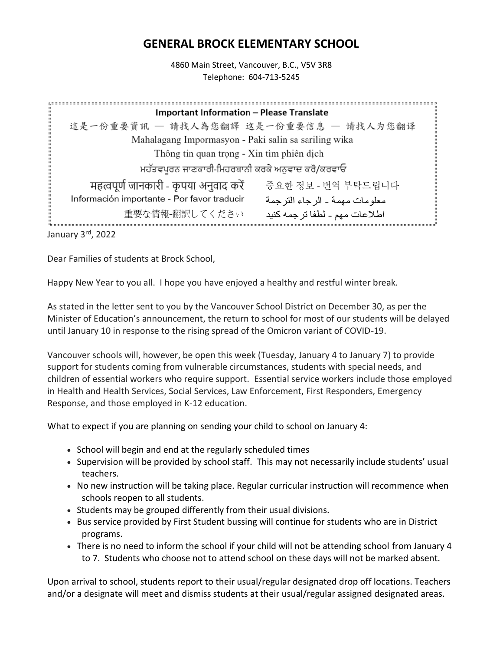## **GENERAL BROCK ELEMENTARY SCHOOL**

4860 Main Street, Vancouver, B.C., V5V 3R8 Telephone: 604-713-5245

| <b>Important Information - Please Translate</b>                               |  |
|-------------------------------------------------------------------------------|--|
| 這是一份重要資訊 - 請找人為您翻譯 这是一份重要信息 - 请找人为您翻译                                         |  |
| Mahalagang Impormasyon - Paki salin sa sariling wika                          |  |
| Thông tin quan trọng - Xin tìm phiên dịch                                     |  |
| ਮਹੱਤਵਪੂਰਨ ਜਾਣਕਾਰੀ-ਮਿਹਰਬਾਨੀ ਕਰਕੇ ਅਨੁਵਾਦ ਕਰੋ/ਕਰਵਾਓ                              |  |
| महत्वपूर्ण जानकारी - कृपया अनुवाद करें<br>중요한 정보 - 번역 부탁드립니다                  |  |
| Información importante - Por favor traducir<br>معلو مات مهمة ـ الرجاء الترجمة |  |
| 重要な情報-翻訳してください<br>اطلاعات مهم ـ لطفا ترجمه كنيد                               |  |
| $\sim$ $\sim$ $\sim$ $\sim$ $\sim$ $\sim$ $\sim$                              |  |

January  $3<sup>rd</sup>$ , 2022

Dear Families of students at Brock School,

Happy New Year to you all. I hope you have enjoyed a healthy and restful winter break.

As stated in the letter sent to you by the Vancouver School District on December 30, as per the Minister of Education's announcement, the return to school for most of our students will be delayed until January 10 in response to the rising spread of the Omicron variant of COVID-19.

Vancouver schools will, however, be open this week (Tuesday, January 4 to January 7) to provide support for students coming from vulnerable circumstances, students with special needs, and children of essential workers who require support. Essential service workers include those employed in Health and Health Services, Social Services, Law Enforcement, First Responders, Emergency Response, and those employed in K-12 education.

What to expect if you are planning on sending your child to school on January 4:

- School will begin and end at the regularly scheduled times
- Supervision will be provided by school staff. This may not necessarily include students' usual teachers.
- No new instruction will be taking place. Regular curricular instruction will recommence when schools reopen to all students.
- Students may be grouped differently from their usual divisions.
- Bus service provided by First Student bussing will continue for students who are in District programs.
- There is no need to inform the school if your child will not be attending school from January 4 to 7. Students who choose not to attend school on these days will not be marked absent.

Upon arrival to school, students report to their usual/regular designated drop off locations. Teachers and/or a designate will meet and dismiss students at their usual/regular assigned designated areas.